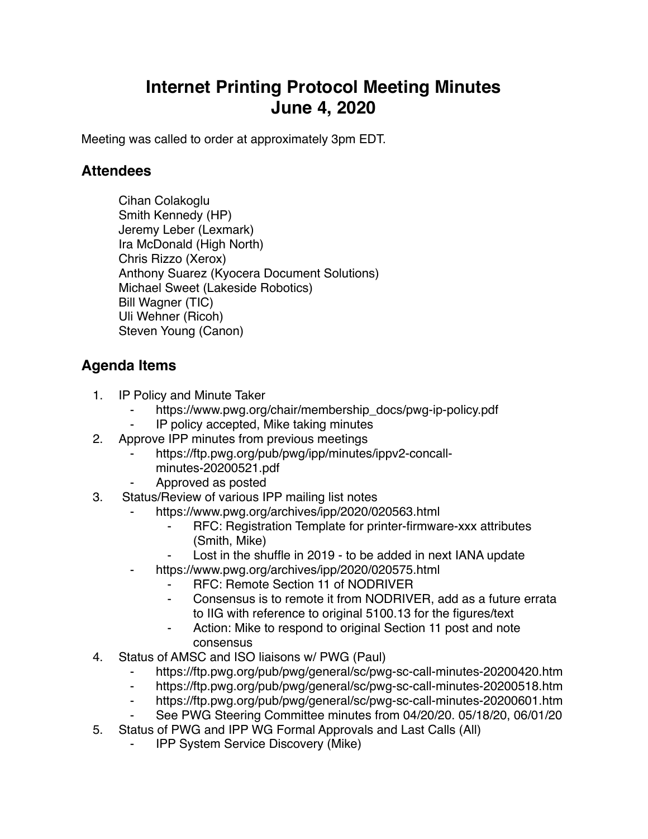## **Internet Printing Protocol Meeting Minutes June 4, 2020**

Meeting was called to order at approximately 3pm EDT.

## **Attendees**

Cihan Colakoglu Smith Kennedy (HP) Jeremy Leber (Lexmark) Ira McDonald (High North) Chris Rizzo (Xerox) Anthony Suarez (Kyocera Document Solutions) Michael Sweet (Lakeside Robotics) Bill Wagner (TIC) Uli Wehner (Ricoh) Steven Young (Canon)

## **Agenda Items**

- 1. IP Policy and Minute Taker
	- https://www.pwg.org/chair/membership\_docs/pwg-ip-policy.pdf
	- IP policy accepted, Mike taking minutes
- 2. Approve IPP minutes from previous meetings
	- https://ftp.pwg.org/pub/pwg/ipp/minutes/ippv2-concallminutes-20200521.pdf
	- ⁃ Approved as posted
- 3. Status/Review of various IPP mailing list notes
	- https://www.pwg.org/archives/ipp/2020/020563.html
		- ⁃ RFC: Registration Template for printer-firmware-xxx attributes (Smith, Mike)
		- Lost in the shuffle in 2019 to be added in next IANA update
	- https://www.pwg.org/archives/ipp/2020/020575.html
		- ⁃ RFC: Remote Section 11 of NODRIVER
		- Consensus is to remote it from NODRIVER, add as a future errata to IIG with reference to original 5100.13 for the figures/text
		- ⁃ Action: Mike to respond to original Section 11 post and note consensus
- 4. Status of AMSC and ISO liaisons w/ PWG (Paul)
	- https://ftp.pwg.org/pub/pwg/general/sc/pwg-sc-call-minutes-20200420.htm
	- ⁃ https://ftp.pwg.org/pub/pwg/general/sc/pwg-sc-call-minutes-20200518.htm
	- ⁃ https://ftp.pwg.org/pub/pwg/general/sc/pwg-sc-call-minutes-20200601.htm
	- See PWG Steering Committee minutes from 04/20/20. 05/18/20, 06/01/20
- 5. Status of PWG and IPP WG Formal Approvals and Last Calls (All)
	- ⁃ IPP System Service Discovery (Mike)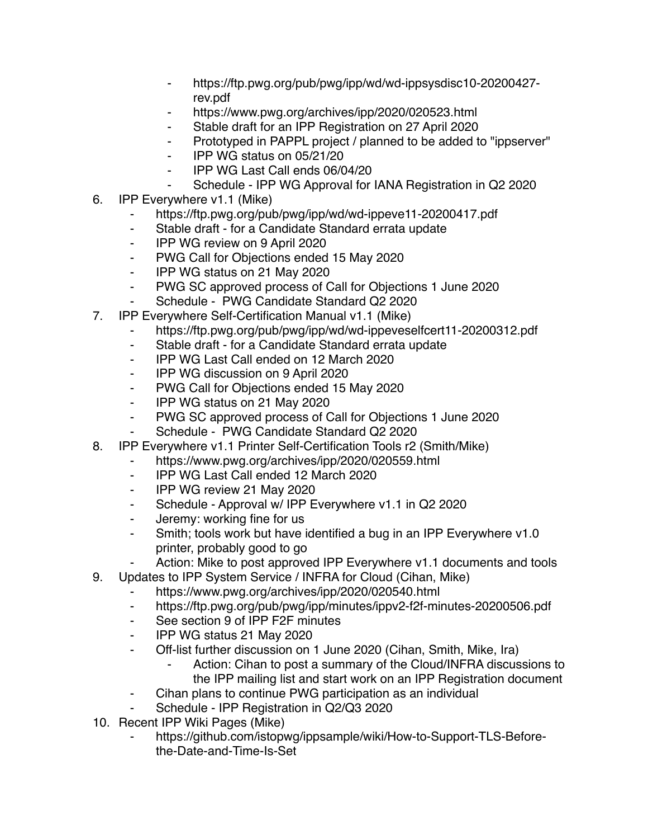- https://ftp.pwg.org/pub/pwg/ipp/wd/wd-ippsysdisc10-20200427rev.pdf
- https://www.pwg.org/archives/ipp/2020/020523.html
- ⁃ Stable draft for an IPP Registration on 27 April 2020
- ⁃ Prototyped in PAPPL project / planned to be added to "ippserver"
- ⁃ IPP WG status on 05/21/20
- ⁃ IPP WG Last Call ends 06/04/20
- Schedule IPP WG Approval for IANA Registration in Q2 2020
- 6. IPP Everywhere v1.1 (Mike)
	- ⁃ https://ftp.pwg.org/pub/pwg/ipp/wd/wd-ippeve11-20200417.pdf
	- ⁃ Stable draft for a Candidate Standard errata update
	- ⁃ IPP WG review on 9 April 2020
	- ⁃ PWG Call for Objections ended 15 May 2020
	- ⁃ IPP WG status on 21 May 2020
	- ⁃ PWG SC approved process of Call for Objections 1 June 2020
	- Schedule PWG Candidate Standard Q2 2020
- 7. IPP Everywhere Self-Certification Manual v1.1 (Mike)
	- https://ftp.pwg.org/pub/pwg/ipp/wd/wd-ippeveselfcert11-20200312.pdf
	- ⁃ Stable draft for a Candidate Standard errata update
	- ⁃ IPP WG Last Call ended on 12 March 2020
	- ⁃ IPP WG discussion on 9 April 2020
	- ⁃ PWG Call for Objections ended 15 May 2020
	- ⁃ IPP WG status on 21 May 2020
	- ⁃ PWG SC approved process of Call for Objections 1 June 2020
	- Schedule PWG Candidate Standard Q2 2020
- 8. IPP Everywhere v1.1 Printer Self-Certification Tools r2 (Smith/Mike)
	- ⁃ https://www.pwg.org/archives/ipp/2020/020559.html
	- ⁃ IPP WG Last Call ended 12 March 2020
	- ⁃ IPP WG review 21 May 2020
	- ⁃ Schedule Approval w/ IPP Everywhere v1.1 in Q2 2020
	- ⁃ Jeremy: working fine for us
	- ⁃ Smith; tools work but have identified a bug in an IPP Everywhere v1.0 printer, probably good to go
		- Action: Mike to post approved IPP Everywhere v1.1 documents and tools
- 9. Updates to IPP System Service / INFRA for Cloud (Cihan, Mike)
	- https://www.pwg.org/archives/ipp/2020/020540.html
	- ⁃ https://ftp.pwg.org/pub/pwg/ipp/minutes/ippv2-f2f-minutes-20200506.pdf
	- ⁃ See section 9 of IPP F2F minutes
	- ⁃ IPP WG status 21 May 2020
	- ⁃ Off-list further discussion on 1 June 2020 (Cihan, Smith, Mike, Ira)
		- Action: Cihan to post a summary of the Cloud/INFRA discussions to the IPP mailing list and start work on an IPP Registration document
	- Cihan plans to continue PWG participation as an individual
	- Schedule IPP Registration in Q2/Q3 2020
- 10. Recent IPP Wiki Pages (Mike)
	- https://github.com/istopwg/ippsample/wiki/How-to-Support-TLS-Beforethe-Date-and-Time-Is-Set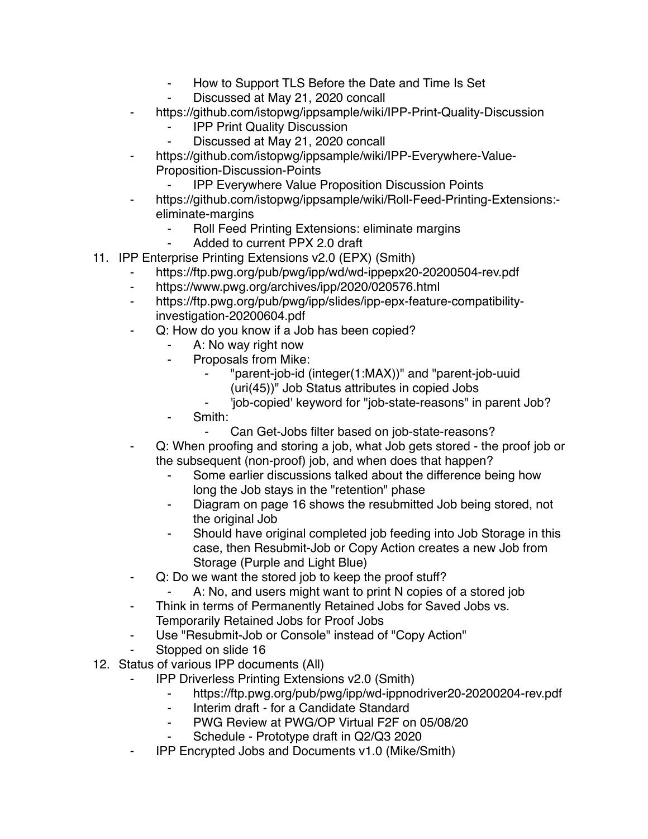- ⁃ How to Support TLS Before the Date and Time Is Set
- Discussed at May 21, 2020 concall
- https://github.com/istopwg/ippsample/wiki/IPP-Print-Quality-Discussion
	- **IPP Print Quality Discussion**
	- Discussed at May 21, 2020 concall
- https://github.com/istopwg/ippsample/wiki/IPP-Everywhere-Value-Proposition-Discussion-Points
	- **IPP Everywhere Value Proposition Discussion Points**
- https://github.com/istopwg/ippsample/wiki/Roll-Feed-Printing-Extensions:eliminate-margins
	- Roll Feed Printing Extensions: eliminate margins
	- ⁃ Added to current PPX 2.0 draft
- 11. IPP Enterprise Printing Extensions v2.0 (EPX) (Smith)
	- https://ftp.pwg.org/pub/pwg/ipp/wd/wd-ippepx20-20200504-rev.pdf
	- ⁃ https://www.pwg.org/archives/ipp/2020/020576.html
	- ⁃ https://ftp.pwg.org/pub/pwg/ipp/slides/ipp-epx-feature-compatibilityinvestigation-20200604.pdf
	- ⁃ Q: How do you know if a Job has been copied?
		- A: No way right now
		- ⁃ Proposals from Mike:
			- ⁃ "parent-job-id (integer(1:MAX))" and "parent-job-uuid (uri(45))" Job Status attributes in copied Jobs
				- ⁃ 'job-copied' keyword for "job-state-reasons" in parent Job?
		- Smith:
			- Can Get-Jobs filter based on job-state-reasons?
	- Q: When proofing and storing a job, what Job gets stored the proof job or the subsequent (non-proof) job, and when does that happen?
		- Some earlier discussions talked about the difference being how long the Job stays in the "retention" phase
		- Diagram on page 16 shows the resubmitted Job being stored, not the original Job
		- ⁃ Should have original completed job feeding into Job Storage in this case, then Resubmit-Job or Copy Action creates a new Job from Storage (Purple and Light Blue)
	- ⁃ Q: Do we want the stored job to keep the proof stuff?
		- A: No, and users might want to print N copies of a stored job
	- ⁃ Think in terms of Permanently Retained Jobs for Saved Jobs vs. Temporarily Retained Jobs for Proof Jobs
	- Use "Resubmit-Job or Console" instead of "Copy Action"
	- Stopped on slide 16
- 12. Status of various IPP documents (All)
	- **IPP Driverless Printing Extensions v2.0 (Smith)** 
		- ⁃ https://ftp.pwg.org/pub/pwg/ipp/wd-ippnodriver20-20200204-rev.pdf
		- ⁃ Interim draft for a Candidate Standard
		- PWG Review at PWG/OP Virtual F2F on 05/08/20
		- Schedule Prototype draft in Q2/Q3 2020
	- ⁃ IPP Encrypted Jobs and Documents v1.0 (Mike/Smith)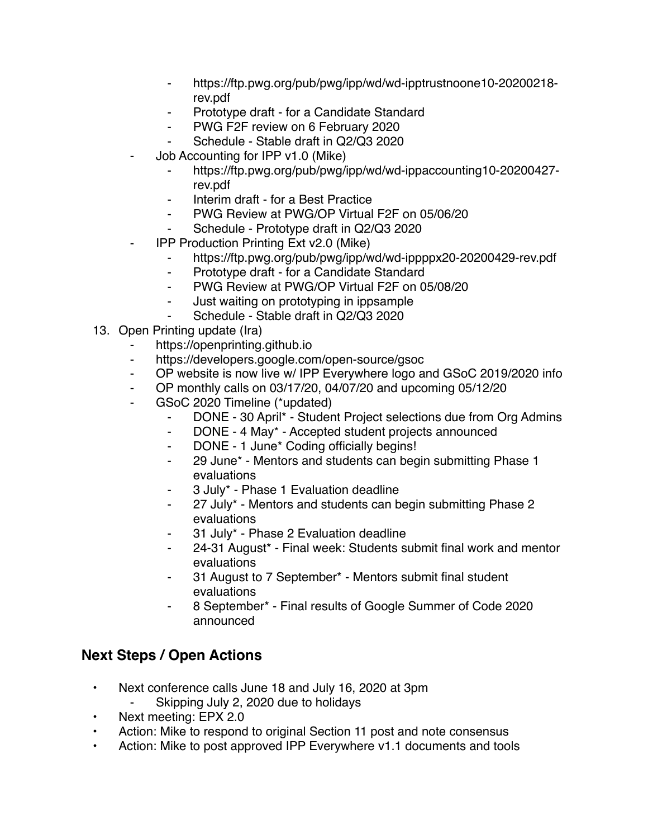- ⁃ https://ftp.pwg.org/pub/pwg/ipp/wd/wd-ipptrustnoone10-20200218 rev.pdf
- ⁃ Prototype draft for a Candidate Standard
- ⁃ PWG F2F review on 6 February 2020
- Schedule Stable draft in Q2/Q3 2020
- Job Accounting for IPP v1.0 (Mike)
	- https://ftp.pwg.org/pub/pwg/ipp/wd/wd-ippaccounting10-20200427rev.pdf
	- Interim draft for a Best Practice
	- ⁃ PWG Review at PWG/OP Virtual F2F on 05/06/20
	- Schedule Prototype draft in Q2/Q3 2020
- **IPP Production Printing Ext v2.0 (Mike)** 
	- https://ftp.pwg.org/pub/pwg/ipp/wd/wd-ippppx20-20200429-rev.pdf
	- ⁃ Prototype draft for a Candidate Standard
	- ⁃ PWG Review at PWG/OP Virtual F2F on 05/08/20
	- ⁃ Just waiting on prototyping in ippsample
	- Schedule Stable draft in Q2/Q3 2020
- 13. Open Printing update (Ira)
	- https://openprinting.github.io
	- ⁃ https://developers.google.com/open-source/gsoc
	- ⁃ OP website is now live w/ IPP Everywhere logo and GSoC 2019/2020 info
	- ⁃ OP monthly calls on 03/17/20, 04/07/20 and upcoming 05/12/20
	- GSoC 2020 Timeline (\*updated)
		- ⁃ DONE 30 April\* Student Project selections due from Org Admins
		- ⁃ DONE 4 May\* Accepted student projects announced
		- ⁃ DONE 1 June\* Coding officially begins!
		- ⁃ 29 June\* Mentors and students can begin submitting Phase 1 evaluations
		- ⁃ 3 July\* Phase 1 Evaluation deadline
		- 27 July\* Mentors and students can begin submitting Phase 2 evaluations
		- ⁃ 31 July\* Phase 2 Evaluation deadline
		- 24-31 August\* Final week: Students submit final work and mentor evaluations
		- 31 August to 7 September\* Mentors submit final student evaluations
		- ⁃ 8 September\* Final results of Google Summer of Code 2020 announced

## **Next Steps / Open Actions**

- Next conference calls June 18 and July 16, 2020 at 3pm
	- ⁃ Skipping July 2, 2020 due to holidays
- Next meeting: EPX 2.0
- Action: Mike to respond to original Section 11 post and note consensus
- Action: Mike to post approved IPP Everywhere v1.1 documents and tools